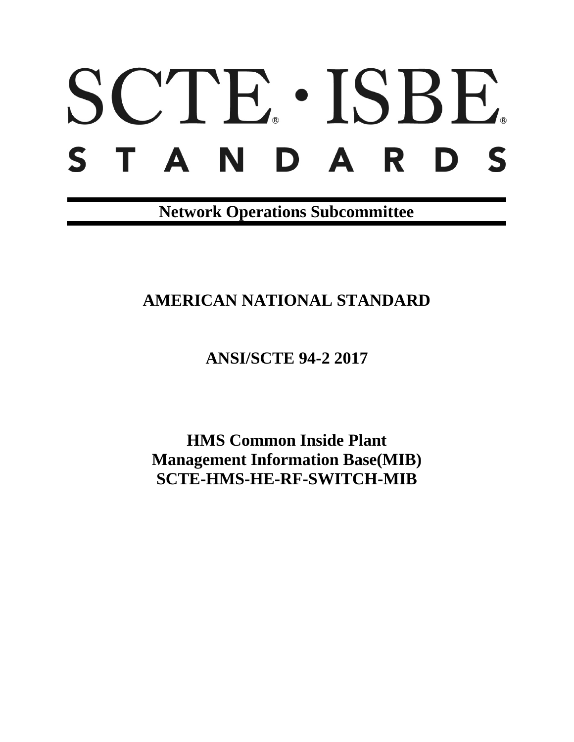# SCTE. ISBE. STANDARDS

**Network Operations Subcommittee**

# **AMERICAN NATIONAL STANDARD**

**ANSI/SCTE 94-2 2017**

**HMS Common Inside Plant Management Information Base(MIB) SCTE-HMS-HE-RF-SWITCH-MIB**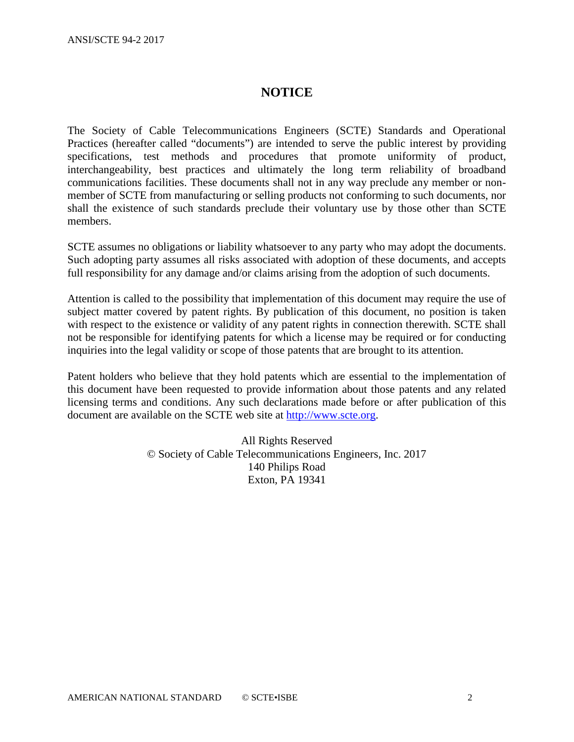#### **NOTICE**

The Society of Cable Telecommunications Engineers (SCTE) Standards and Operational Practices (hereafter called "documents") are intended to serve the public interest by providing specifications, test methods and procedures that promote uniformity of product, interchangeability, best practices and ultimately the long term reliability of broadband communications facilities. These documents shall not in any way preclude any member or nonmember of SCTE from manufacturing or selling products not conforming to such documents, nor shall the existence of such standards preclude their voluntary use by those other than SCTE members.

SCTE assumes no obligations or liability whatsoever to any party who may adopt the documents. Such adopting party assumes all risks associated with adoption of these documents, and accepts full responsibility for any damage and/or claims arising from the adoption of such documents.

Attention is called to the possibility that implementation of this document may require the use of subject matter covered by patent rights. By publication of this document, no position is taken with respect to the existence or validity of any patent rights in connection therewith. SCTE shall not be responsible for identifying patents for which a license may be required or for conducting inquiries into the legal validity or scope of those patents that are brought to its attention.

Patent holders who believe that they hold patents which are essential to the implementation of this document have been requested to provide information about those patents and any related licensing terms and conditions. Any such declarations made before or after publication of this document are available on the SCTE web site at [http://www.scte.org.](http://www.scte.org/)

> All Rights Reserved © Society of Cable Telecommunications Engineers, Inc. 2017 140 Philips Road Exton, PA 19341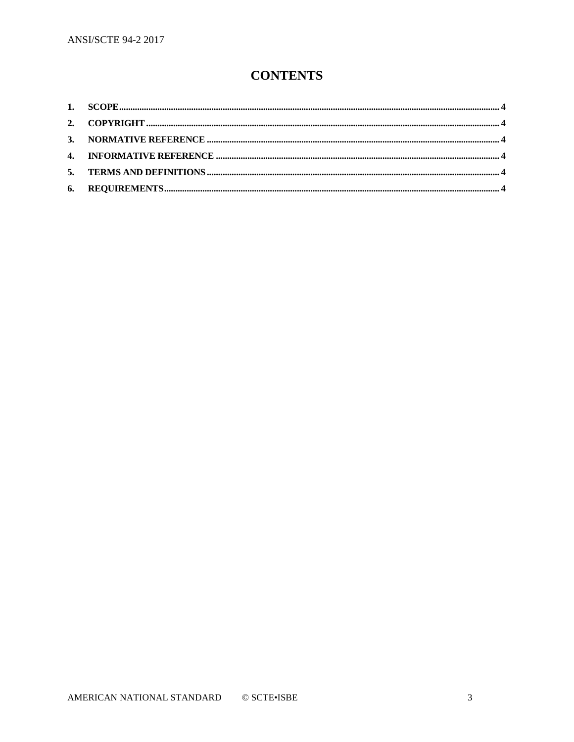# **CONTENTS**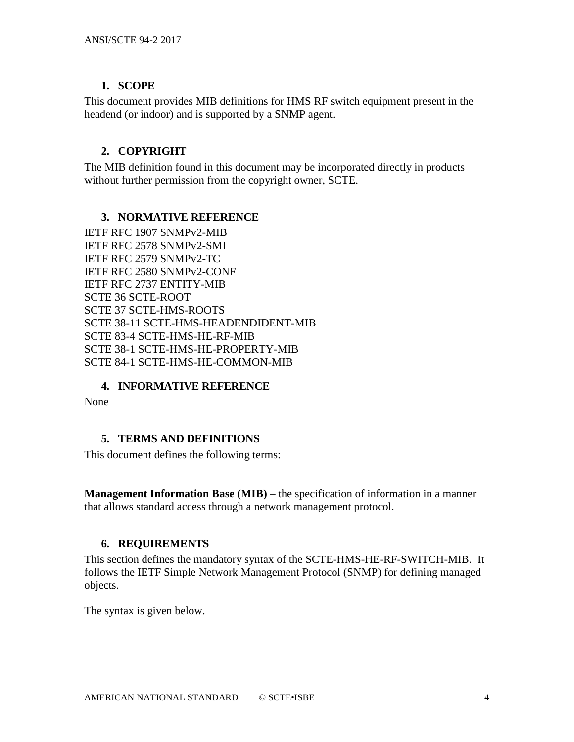## <span id="page-3-0"></span>**1. SCOPE**

This document provides MIB definitions for HMS RF switch equipment present in the headend (or indoor) and is supported by a SNMP agent.

# <span id="page-3-1"></span>**2. COPYRIGHT**

The MIB definition found in this document may be incorporated directly in products without further permission from the copyright owner, SCTE.

## <span id="page-3-2"></span>**3. NORMATIVE REFERENCE**

IETF RFC 1907 SNMPv2-MIB IETF RFC 2578 SNMPv2-SMI IETF RFC 2579 SNMPv2-TC IETF RFC 2580 SNMPv2-CONF IETF RFC 2737 ENTITY-MIB SCTE 36 SCTE-ROOT SCTE 37 SCTE-HMS-ROOTS SCTE 38-11 SCTE-HMS-HEADENDIDENT-MIB SCTE 83-4 SCTE-HMS-HE-RF-MIB SCTE 38-1 SCTE-HMS-HE-PROPERTY-MIB SCTE 84-1 SCTE-HMS-HE-COMMON-MIB

## <span id="page-3-3"></span>**4. INFORMATIVE REFERENCE**

None

## <span id="page-3-4"></span>**5. TERMS AND DEFINITIONS**

This document defines the following terms:

**Management Information Base (MIB)** – the specification of information in a manner that allows standard access through a network management protocol.

# <span id="page-3-5"></span>**6. REQUIREMENTS**

This section defines the mandatory syntax of the SCTE-HMS-HE-RF-SWITCH-MIB. It follows the IETF Simple Network Management Protocol (SNMP) for defining managed objects.

The syntax is given below.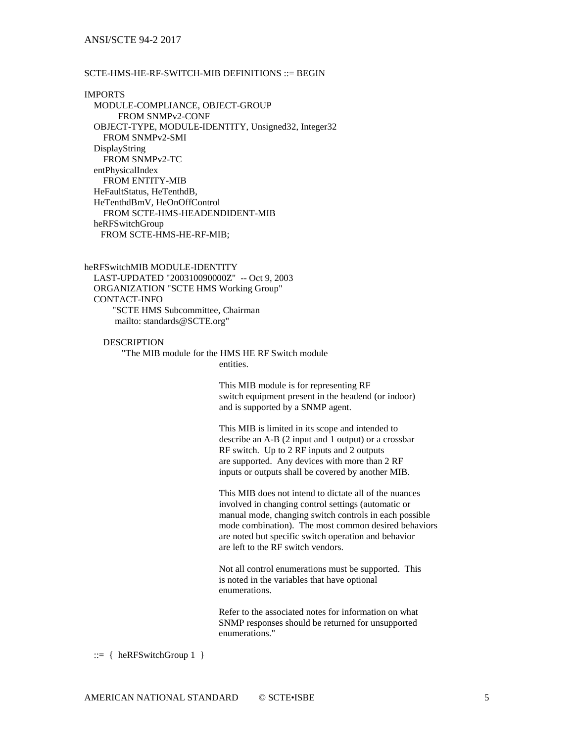#### ANSI/SCTE 94-2 2017

#### SCTE-HMS-HE-RF-SWITCH-MIB DEFINITIONS ::= BEGIN

IMPORTS MODULE-COMPLIANCE, OBJECT-GROUP FROM SNMPv2-CONF OBJECT-TYPE, MODULE-IDENTITY, Unsigned32, Integer32 FROM SNMPv2-SMI DisplayString FROM SNMPv2-TC entPhysicalIndex FROM ENTITY-MIB HeFaultStatus, HeTenthdB, HeTenthdBmV, HeOnOffControl FROM SCTE-HMS-HEADENDIDENT-MIB heRFSwitchGroup FROM SCTE-HMS-HE-RF-MIB;

heRFSwitchMIB MODULE-IDENTITY LAST-UPDATED "200310090000Z" -- Oct 9, 2003 ORGANIZATION "SCTE HMS Working Group" CONTACT-INFO "SCTE HMS Subcommittee, Chairman mailto: standards@SCTE.org"

**DESCRIPTION**  "The MIB module for the HMS HE RF Switch module entities.

This MIB module is for representing RF switch equipment present in the headend (or indoor) and is supported by a SNMP agent.

This MIB is limited in its scope and intended to describe an A-B (2 input and 1 output) or a crossbar RF switch. Up to 2 RF inputs and 2 outputs are supported. Any devices with more than 2 RF inputs or outputs shall be covered by another MIB.

This MIB does not intend to dictate all of the nuances involved in changing control settings (automatic or manual mode, changing switch controls in each possible mode combination). The most common desired behaviors are noted but specific switch operation and behavior are left to the RF switch vendors.

Not all control enumerations must be supported. This is noted in the variables that have optional enumerations.

Refer to the associated notes for information on what SNMP responses should be returned for unsupported enumerations."

 $::= \{ \text{heRFSwitchGroup 1} \}$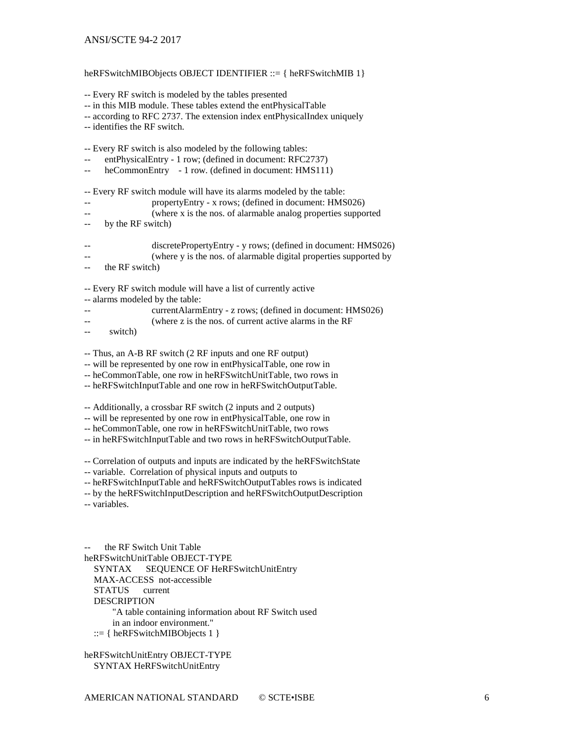heRFSwitchMIBObjects OBJECT IDENTIFIER ::= { heRFSwitchMIB 1} -- Every RF switch is modeled by the tables presented -- in this MIB module. These tables extend the entPhysicalTable -- according to RFC 2737. The extension index entPhysicalIndex uniquely -- identifies the RF switch. -- Every RF switch is also modeled by the following tables: -- entPhysicalEntry - 1 row; (defined in document: RFC2737) -- heCommonEntry - 1 row. (defined in document: HMS111) -- Every RF switch module will have its alarms modeled by the table: -- propertyEntry - x rows; (defined in document: HMS026) -- (where x is the nos. of alarmable analog properties supported -- by the RF switch) -- discretePropertyEntry - y rows; (defined in document: HMS026) -- (where y is the nos. of alarmable digital properties supported by -- the RF switch) -- Every RF switch module will have a list of currently active -- alarms modeled by the table: -- currentAlarmEntry - z rows; (defined in document: HMS026) -- (where z is the nos. of current active alarms in the RF -- switch) -- Thus, an A-B RF switch (2 RF inputs and one RF output) -- will be represented by one row in entPhysicalTable, one row in -- heCommonTable, one row in heRFSwitchUnitTable, two rows in -- heRFSwitchInputTable and one row in heRFSwitchOutputTable. -- Additionally, a crossbar RF switch (2 inputs and 2 outputs) -- will be represented by one row in entPhysicalTable, one row in -- heCommonTable, one row in heRFSwitchUnitTable, two rows -- in heRFSwitchInputTable and two rows in heRFSwitchOutputTable. -- Correlation of outputs and inputs are indicated by the heRFSwitchState -- variable. Correlation of physical inputs and outputs to -- heRFSwitchInputTable and heRFSwitchOutputTables rows is indicated -- by the heRFSwitchInputDescription and heRFSwitchOutputDescription -- variables. the RF Switch Unit Table heRFSwitchUnitTable OBJECT-TYPE SYNTAX SEQUENCE OF HeRFSwitchUnitEntry

MAX-ACCESS not-accessible

STATUS current

DESCRIPTION

 "A table containing information about RF Switch used in an indoor environment."

::= { heRFSwitchMIBObjects 1 }

heRFSwitchUnitEntry OBJECT-TYPE SYNTAX HeRFSwitchUnitEntry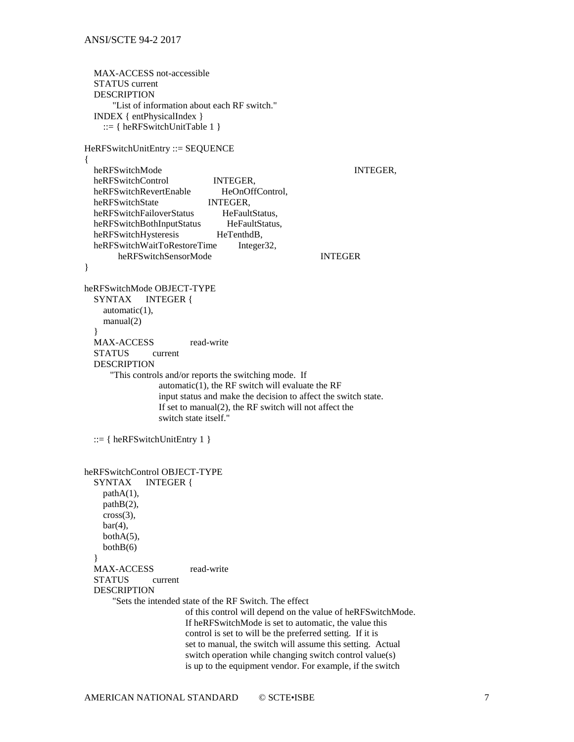```
 MAX-ACCESS not-accessible
   STATUS current
   DESCRIPTION
        "List of information about each RF switch."
   INDEX { entPhysicalIndex }
     ::= { heRFSwitchUnitTable 1 }
HeRFSwitchUnitEntry ::= SEQUENCE
{
  heRFSwitchMode INTEGER,
   heRFSwitchControl INTEGER, 
   heRFSwitchRevertEnable HeOnOffControl,
  heRFSwitchState INTEGER,<br>heRFSwitchFailoverStatus HeFaultStatus,
  heRFSwitchFailoverStatus HeFaultStatus,<br>heRFSwitchBothInputStatus HeFaultStatus.
  heRFSwitchBothInputStatus HeFaultSt<br>heRFSwitchHvsteresis HeTenthdB,
  heRFSwitchHysteresis
  heRFSwitchWaitToRestoreTime Integer32,
        heRFSwitchSensorMode INTEGER 
}
heRFSwitchMode OBJECT-TYPE
   SYNTAX INTEGER {
     automatic(1),
     manual(2)
 }
  MAX-ACCESS read-write
   STATUS current
   DESCRIPTION
       "This controls and/or reports the switching mode. If 
                   automatic(1), the RF switch will evaluate the RF 
                   input status and make the decision to affect the switch state. 
                   If set to manual(2), the RF switch will not affect the 
                   switch state itself."
   ::= \{ heRFSwitchUnitEntry 1 \}heRFSwitchControl OBJECT-TYPE
   SYNTAX INTEGER {
     pathA(1),
     pathB(2),
    cross(3),
    bar(4),
     bothA(5), 
    bothB(6) }
  MAX-ACCESS read-write
   STATUS current
   DESCRIPTION
        "Sets the intended state of the RF Switch. The effect 
                         of this control will depend on the value of heRFSwitchMode.
                         If heRFSwitchMode is set to automatic, the value this 
                         control is set to will be the preferred setting. If it is 
                         set to manual, the switch will assume this setting. Actual 
                         switch operation while changing switch control value(s) 
                         is up to the equipment vendor. For example, if the switch
```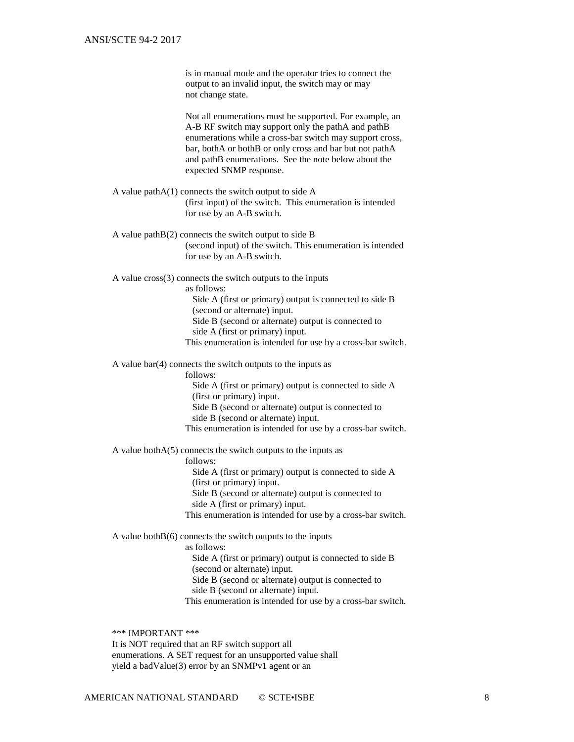is in manual mode and the operator tries to connect the output to an invalid input, the switch may or may not change state.

Not all enumerations must be supported. For example, an A-B RF switch may support only the pathA and pathB enumerations while a cross-bar switch may support cross, bar, bothA or bothB or only cross and bar but not pathA and pathB enumerations. See the note below about the expected SNMP response.

 A value pathA(1) connects the switch output to side A (first input) of the switch. This enumeration is intended for use by an A-B switch.

 A value pathB(2) connects the switch output to side B (second input) of the switch. This enumeration is intended for use by an A-B switch.

A value cross(3) connects the switch outputs to the inputs

as follows:

 Side A (first or primary) output is connected to side B (second or alternate) input. Side B (second or alternate) output is connected to

side A (first or primary) input.

This enumeration is intended for use by a cross-bar switch.

A value bar(4) connects the switch outputs to the inputs as

follows:

 Side A (first or primary) output is connected to side A (first or primary) input.

Side B (second or alternate) output is connected to

side B (second or alternate) input.

This enumeration is intended for use by a cross-bar switch.

A value bothA(5) connects the switch outputs to the inputs as

follows:

 Side A (first or primary) output is connected to side A (first or primary) input.

Side B (second or alternate) output is connected to

side A (first or primary) input.

This enumeration is intended for use by a cross-bar switch.

A value both $B(6)$  connects the switch outputs to the inputs

as follows:

 Side A (first or primary) output is connected to side B (second or alternate) input.

Side B (second or alternate) output is connected to

side B (second or alternate) input.

This enumeration is intended for use by a cross-bar switch.

 \*\*\* IMPORTANT \*\*\* It is NOT required that an RF switch support all enumerations. A SET request for an unsupported value shall yield a badValue(3) error by an SNMPv1 agent or an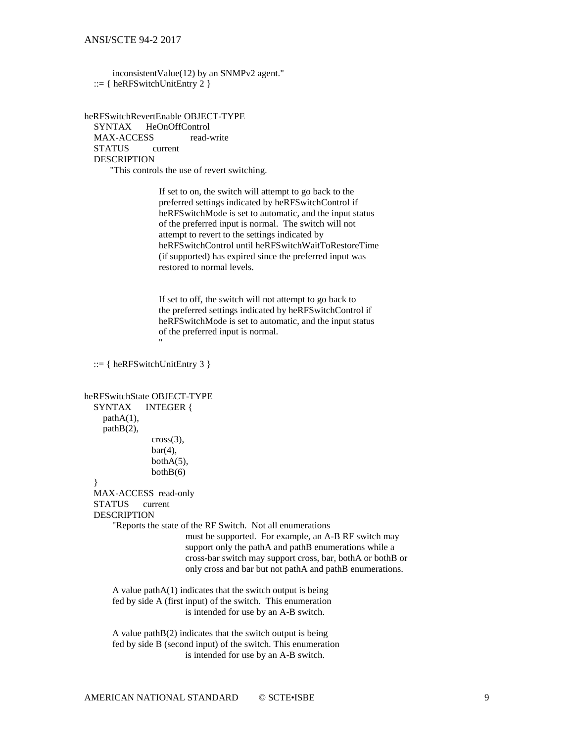inconsistentValue(12) by an SNMPv2 agent."  $::= \{ \text{ heRFSwitchUnitEntry 2 } \}$ 

heRFSwitchRevertEnable OBJECT-TYPE SYNTAX HeOnOffControl MAX-ACCESS read-write STATUS current DESCRIPTION "This controls the use of revert switching.

> If set to on, the switch will attempt to go back to the preferred settings indicated by heRFSwitchControl if heRFSwitchMode is set to automatic, and the input status of the preferred input is normal. The switch will not attempt to revert to the settings indicated by heRFSwitchControl until heRFSwitchWaitToRestoreTime (if supported) has expired since the preferred input was restored to normal levels.

 If set to off, the switch will not attempt to go back to the preferred settings indicated by heRFSwitchControl if heRFSwitchMode is set to automatic, and the input status of the preferred input is normal. "

```
 ::= { heRFSwitchUnitEntry 3 }
```

```
heRFSwitchState OBJECT-TYPE
   SYNTAX INTEGER {
    pathA(1), pathB(2),
                 cross(3),
                 bar(4).
                 bothA(5),
                 bothB(6) }
   MAX-ACCESS read-only
   STATUS current
   DESCRIPTION
        "Reports the state of the RF Switch. Not all enumerations 
                          must be supported. For example, an A-B RF switch may 
                          support only the pathA and pathB enumerations while a
                          cross-bar switch may support cross, bar, bothA or bothB or 
                          only cross and bar but not pathA and pathB enumerations.
       A value pathA(1) indicates that the switch output is being
        fed by side A (first input) of the switch. This enumeration
                         is intended for use by an A-B switch.
       A value pathB(2) indicates that the switch output is being
        fed by side B (second input) of the switch. This enumeration
                         is intended for use by an A-B switch.
```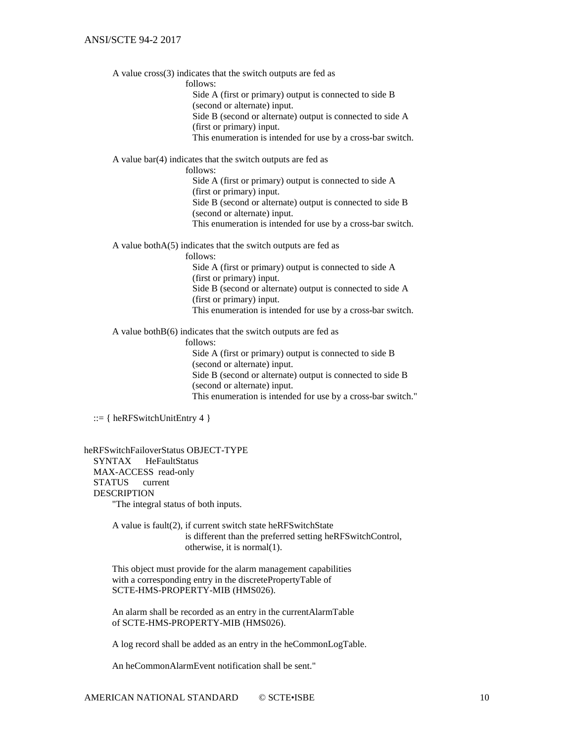A value cross(3) indicates that the switch outputs are fed as

follows:

 Side A (first or primary) output is connected to side B (second or alternate) input.

 Side B (second or alternate) output is connected to side A (first or primary) input.

This enumeration is intended for use by a cross-bar switch.

A value bar(4) indicates that the switch outputs are fed as

follows:

 Side A (first or primary) output is connected to side A (first or primary) input. Side B (second or alternate) output is connected to side B (second or alternate) input. This enumeration is intended for use by a cross-bar switch.

A value bothA(5) indicates that the switch outputs are fed as

follows:

 Side A (first or primary) output is connected to side A (first or primary) input. Side B (second or alternate) output is connected to side A (first or primary) input. This enumeration is intended for use by a cross-bar switch.

A value both $B(6)$  indicates that the switch outputs are fed as

follows:

 Side A (first or primary) output is connected to side B (second or alternate) input. Side B (second or alternate) output is connected to side B (second or alternate) input. This enumeration is intended for use by a cross-bar switch."

::= { heRFSwitchUnitEntry 4 }

heRFSwitchFailoverStatus OBJECT-TYPE SYNTAX HeFaultStatus MAX-ACCESS read-only STATUS current DESCRIPTION "The integral status of both inputs.

> A value is fault(2), if current switch state heRFSwitchState is different than the preferred setting heRFSwitchControl, otherwise, it is normal(1).

 This object must provide for the alarm management capabilities with a corresponding entry in the discretePropertyTable of SCTE-HMS-PROPERTY-MIB (HMS026).

 An alarm shall be recorded as an entry in the currentAlarmTable of SCTE-HMS-PROPERTY-MIB (HMS026).

A log record shall be added as an entry in the heCommonLogTable.

An heCommonAlarmEvent notification shall be sent."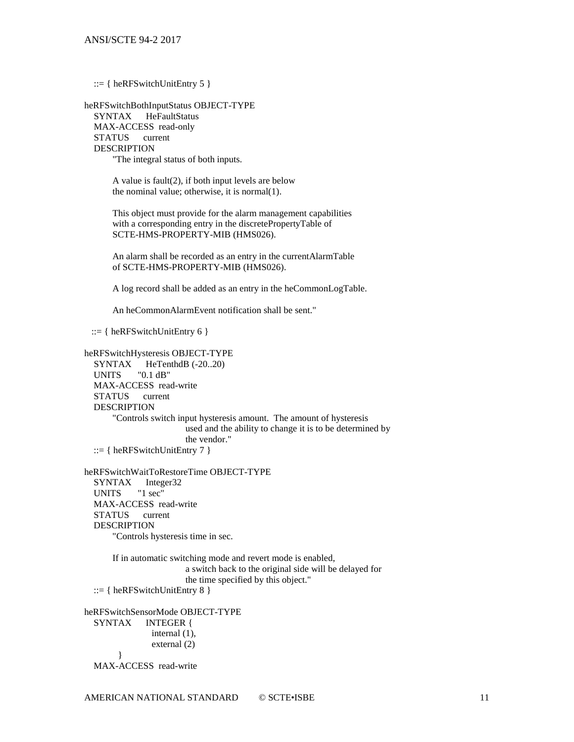$::= \{ \text{ heRFSwitchUnitEntry 5 } \}$ 

heRFSwitchBothInputStatus OBJECT-TYPE SYNTAX HeFaultStatus MAX-ACCESS read-only STATUS current DESCRIPTION "The integral status of both inputs.

> A value is fault(2), if both input levels are below the nominal value; otherwise, it is normal(1).

 This object must provide for the alarm management capabilities with a corresponding entry in the discretePropertyTable of SCTE-HMS-PROPERTY-MIB (HMS026).

 An alarm shall be recorded as an entry in the currentAlarmTable of SCTE-HMS-PROPERTY-MIB (HMS026).

A log record shall be added as an entry in the heCommonLogTable.

An heCommonAlarmEvent notification shall be sent."

 $::= \{ \text{ heRFSwitchUnitEntry 6 } \}$ 

heRFSwitchHysteresis OBJECT-TYPE SYNTAX HeTenthdB (-20..20) UNITS "0.1 dB" MAX-ACCESS read-write STATUS current DESCRIPTION "Controls switch input hysteresis amount. The amount of hysteresis used and the ability to change it is to be determined by the vendor."  $::= \{ \text{ heRFSwitchUnitEntry 7 } \}$ 

heRFSwitchWaitToRestoreTime OBJECT-TYPE SYNTAX Integer32<br>UNITS "1 sec" UNITS MAX-ACCESS read-write<br>STATUS current STATUS DESCRIPTION "Controls hysteresis time in sec.

> If in automatic switching mode and revert mode is enabled, a switch back to the original side will be delayed for the time specified by this object."

::= { heRFSwitchUnitEntry 8 }

heRFSwitchSensorMode OBJECT-TYPE SYNTAX INTEGER { internal (1), external (2) } MAX-ACCESS read-write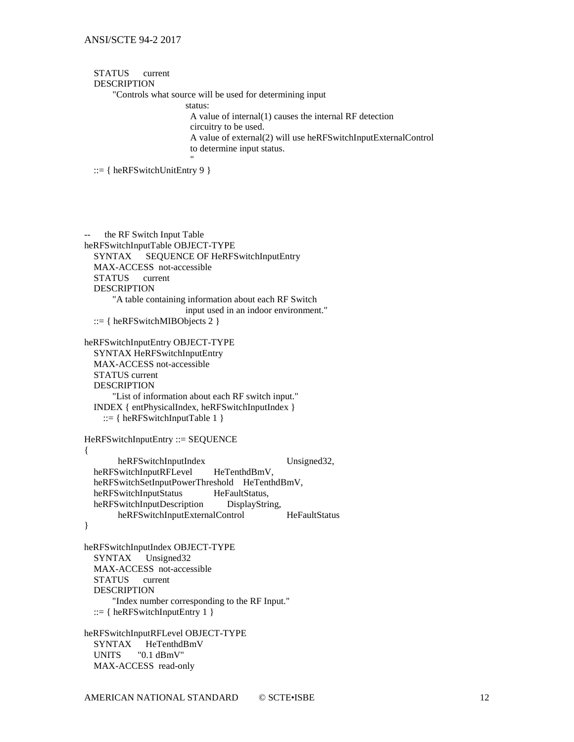#### STATUS current DESCRIPTION

"Controls what source will be used for determining input

status:

A value of internal(1) causes the internal RF detection

circuitry to be used.

 A value of external(2) will use heRFSwitchInputExternalControl to determine input status.

"

::= { heRFSwitchUnitEntry 9 }

-- the RF Switch Input Table heRFSwitchInputTable OBJECT-TYPE SYNTAX SEQUENCE OF HeRFSwitchInputEntry MAX-ACCESS not-accessible STATUS current DESCRIPTION "A table containing information about each RF Switch input used in an indoor environment." ::= { heRFSwitchMIBObjects 2 } heRFSwitchInputEntry OBJECT-TYPE SYNTAX HeRFSwitchInputEntry MAX-ACCESS not-accessible STATUS current DESCRIPTION "List of information about each RF switch input." INDEX { entPhysicalIndex, heRFSwitchInputIndex } ::= { heRFSwitchInputTable  $1$  } HeRFSwitchInputEntry ::= SEQUENCE { heRFSwitchInputIndex Unsigned32, heRFSwitchInputRFLevel HeTenthdBmV, heRFSwitchSetInputPowerThreshold HeTenthdBmV, heRFSwitchInputStatus HeFaultStatus, heRFSwitchInputDescription DisplayString, heRFSwitchInputExternalControl HeFaultStatus } heRFSwitchInputIndex OBJECT-TYPE SYNTAX Unsigned32 MAX-ACCESS not-accessible STATUS current DESCRIPTION "Index number corresponding to the RF Input." ::= { heRFS witch Input Entry  $1$  } heRFSwitchInputRFLevel OBJECT-TYPE<br>SYNTAX HeTenthdBmV HeTenthdBmV UNITS "0.1 dBmV" MAX-ACCESS read-only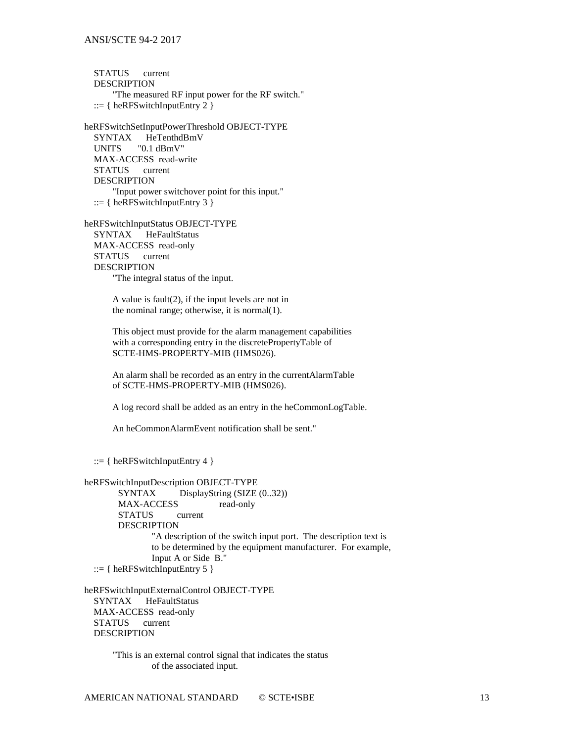STATUS current DESCRIPTION "The measured RF input power for the RF switch." ::=  $\{ herFSwitchInputEntry 2 \}$ 

heRFSwitchSetInputPowerThreshold OBJECT-TYPE SYNTAX HeTenthdBmV UNITS "0.1 dBmV" MAX-ACCESS read-write<br>STATUS current STATUS DESCRIPTION "Input power switchover point for this input."  $::= \{ herFSwitchInputEntry 3 \}$ 

heRFSwitchInputStatus OBJECT-TYPE SYNTAX HeFaultStatus MAX-ACCESS read-only STATUS current DESCRIPTION "The integral status of the input.

> A value is fault(2), if the input levels are not in the nominal range; otherwise, it is normal(1).

 This object must provide for the alarm management capabilities with a corresponding entry in the discretePropertyTable of SCTE-HMS-PROPERTY-MIB (HMS026).

 An alarm shall be recorded as an entry in the currentAlarmTable of SCTE-HMS-PROPERTY-MIB (HMS026).

A log record shall be added as an entry in the heCommonLogTable.

An heCommonAlarmEvent notification shall be sent."

::= { heRFSwitchInputEntry 4 }

heRFSwitchInputDescription OBJECT-TYPE

SYNTAX DisplayString (SIZE (0..32)) MAX-ACCESS read-only<br>STATUS current **STATUS** DESCRIPTION "A description of the switch input port. The description text is to be determined by the equipment manufacturer. For example, Input A or Side B." ::=  $\{ herFSwitchInputEntry 5 \}$ 

heRFSwitchInputExternalControl OBJECT-TYPE SYNTAX HeFaultStatus MAX-ACCESS read-only STATUS current DESCRIPTION

> "This is an external control signal that indicates the status of the associated input.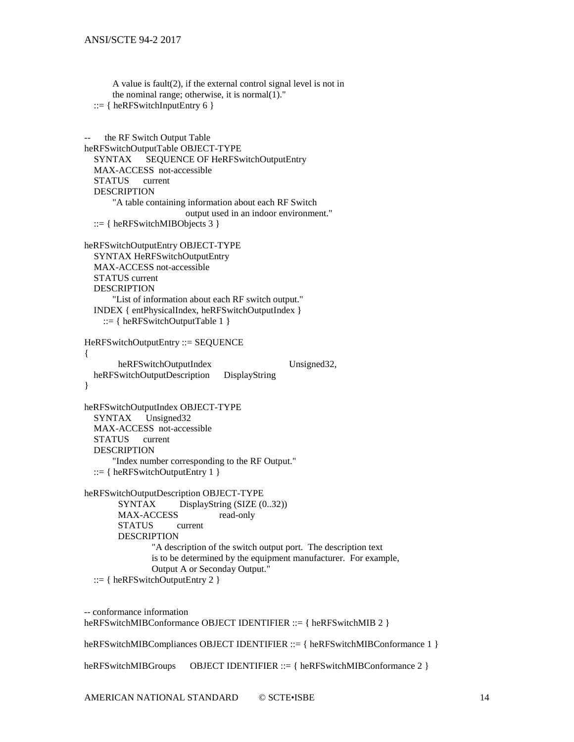```
 the nominal range; otherwise, it is normal(1)."
  ::= \{ heRFS witch Input Entry 6 \}the RF Switch Output Table
heRFSwitchOutputTable OBJECT-TYPE
   SYNTAX SEQUENCE OF HeRFSwitchOutputEntry
   MAX-ACCESS not-accessible
   STATUS current
   DESCRIPTION
       "A table containing information about each RF Switch 
                       output used in an indoor environment."
   ::= \{ herFSwitchMIBObjects 3 \}heRFSwitchOutputEntry OBJECT-TYPE
   SYNTAX HeRFSwitchOutputEntry
   MAX-ACCESS not-accessible
   STATUS current
   DESCRIPTION
       "List of information about each RF switch output."
   INDEX { entPhysicalIndex, heRFSwitchOutputIndex }
    ::= \{ herFSwitchOutputTable 1 \}HeRFSwitchOutputEntry ::= SEQUENCE
{
       heRFSwitchOutputIndex Unsigned32,
   heRFSwitchOutputDescription DisplayString 
}
heRFSwitchOutputIndex OBJECT-TYPE
   SYNTAX Unsigned32
   MAX-ACCESS not-accessible
   STATUS current
   DESCRIPTION
       "Index number corresponding to the RF Output."
  ::= \{heRFSwitchOutputEntry 1\}heRFSwitchOutputDescription OBJECT-TYPE
       SYNTAX DisplayString (SIZE (0..32))<br>MAX-ACCESS read-only
       MAX-ACCESS
       STATUS current
       DESCRIPTION
```
A value is fault(2), if the external control signal level is not in

"A description of the switch output port. The description text is to be determined by the equipment manufacturer. For example, Output A or Seconday Output."

::=  $\{ herFSwitchOutputEntry 2 \}$ 

-- conformance information heRFSwitchMIBConformance OBJECT IDENTIFIER ::= { heRFSwitchMIB 2 }

heRFSwitchMIBCompliances OBJECT IDENTIFIER ::= { heRFSwitchMIBConformance 1 }

heRFSwitchMIBGroups OBJECT IDENTIFIER ::= { heRFSwitchMIBConformance 2 }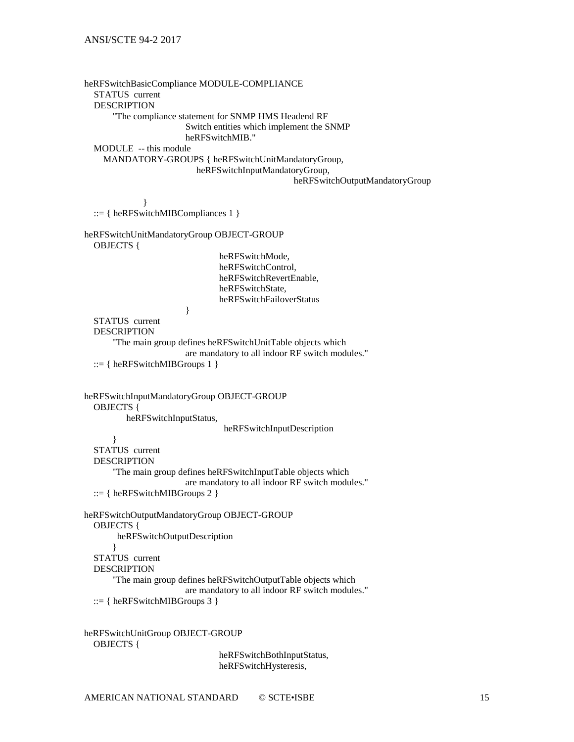heRFSwitchBasicCompliance MODULE-COMPLIANCE STATUS current DESCRIPTION "The compliance statement for SNMP HMS Headend RF Switch entities which implement the SNMP heRFSwitchMIB." MODULE -- this module MANDATORY-GROUPS { heRFSwitchUnitMandatoryGroup, heRFSwitchInputMandatoryGroup, heRFSwitchOutputMandatoryGroup } ::= { heRFS witch MIBCompliances 1 } heRFSwitchUnitMandatoryGroup OBJECT-GROUP OBJECTS { heRFSwitchMode, heRFSwitchControl, heRFSwitchRevertEnable, heRFSwitchState, heRFSwitchFailoverStatus } STATUS current DESCRIPTION "The main group defines heRFSwitchUnitTable objects which are mandatory to all indoor RF switch modules." ::= { heRFSwitchMIBGroups 1 } heRFSwitchInputMandatoryGroup OBJECT-GROUP OBJECTS { heRFSwitchInputStatus, heRFSwitchInputDescription } STATUS current DESCRIPTION "The main group defines heRFSwitchInputTable objects which are mandatory to all indoor RF switch modules." ::= { heRFSwitchMIBGroups 2 } heRFSwitchOutputMandatoryGroup OBJECT-GROUP OBJECTS { heRFSwitchOutputDescription } STATUS current DESCRIPTION "The main group defines heRFSwitchOutputTable objects which are mandatory to all indoor RF switch modules." ::= { heRFSwitchMIBGroups 3 } heRFSwitchUnitGroup OBJECT-GROUP OBJECTS { heRFSwitchBothInputStatus,

heRFSwitchHysteresis,